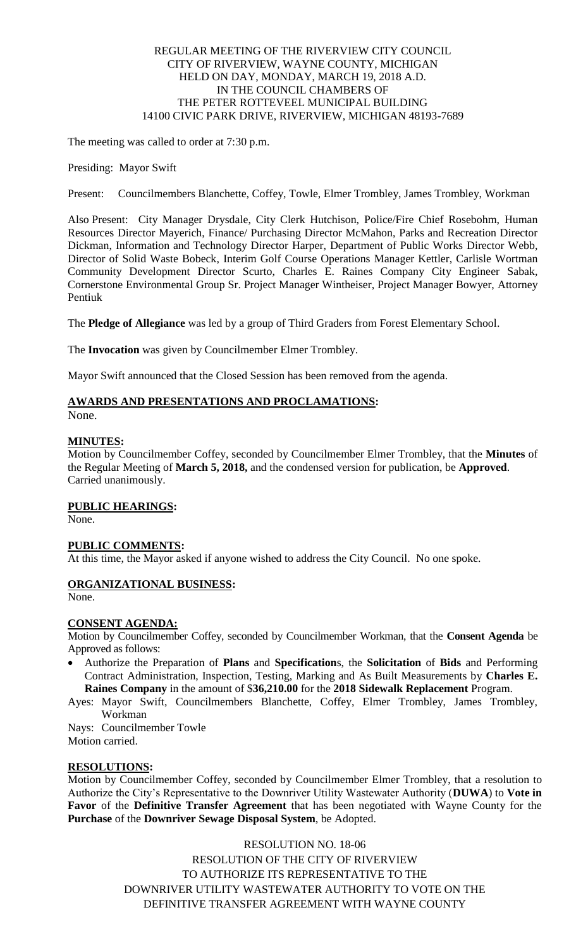## REGULAR MEETING OF THE RIVERVIEW CITY COUNCIL CITY OF RIVERVIEW, WAYNE COUNTY, MICHIGAN HELD ON DAY, MONDAY, MARCH 19, 2018 A.D. IN THE COUNCIL CHAMBERS OF THE PETER ROTTEVEEL MUNICIPAL BUILDING 14100 CIVIC PARK DRIVE, RIVERVIEW, MICHIGAN 48193-7689

The meeting was called to order at 7:30 p.m.

Presiding: Mayor Swift

Present: Councilmembers Blanchette, Coffey, Towle, Elmer Trombley, James Trombley, Workman

Also Present: City Manager Drysdale, City Clerk Hutchison, Police/Fire Chief Rosebohm, Human Resources Director Mayerich, Finance/ Purchasing Director McMahon, Parks and Recreation Director Dickman, Information and Technology Director Harper, Department of Public Works Director Webb, Director of Solid Waste Bobeck, Interim Golf Course Operations Manager Kettler, Carlisle Wortman Community Development Director Scurto, Charles E. Raines Company City Engineer Sabak, Cornerstone Environmental Group Sr. Project Manager Wintheiser, Project Manager Bowyer, Attorney Pentiuk

The **Pledge of Allegiance** was led by a group of Third Graders from Forest Elementary School.

The **Invocation** was given by Councilmember Elmer Trombley.

Mayor Swift announced that the Closed Session has been removed from the agenda.

# **AWARDS AND PRESENTATIONS AND PROCLAMATIONS:**

None.

# **MINUTES:**

Motion by Councilmember Coffey, seconded by Councilmember Elmer Trombley, that the **Minutes** of the Regular Meeting of **March 5, 2018,** and the condensed version for publication, be **Approved**. Carried unanimously.

# **PUBLIC HEARINGS:**

None.

# **PUBLIC COMMENTS:**

At this time, the Mayor asked if anyone wished to address the City Council. No one spoke.

# **ORGANIZATIONAL BUSINESS:**

None.

# **CONSENT AGENDA:**

Motion by Councilmember Coffey, seconded by Councilmember Workman, that the **Consent Agenda** be Approved as follows:

 Authorize the Preparation of **Plans** and **Specification**s, the **Solicitation** of **Bids** and Performing Contract Administration, Inspection, Testing, Marking and As Built Measurements by **Charles E. Raines Company** in the amount of \$**36,210.00** for the **2018 Sidewalk Replacement** Program.

Ayes: Mayor Swift, Councilmembers Blanchette, Coffey, Elmer Trombley, James Trombley, Workman

Nays: Councilmember Towle Motion carried.

# **RESOLUTIONS:**

Motion by Councilmember Coffey, seconded by Councilmember Elmer Trombley, that a resolution to Authorize the City's Representative to the Downriver Utility Wastewater Authority (**DUWA**) to **Vote in Favor** of the **Definitive Transfer Agreement** that has been negotiated with Wayne County for the **Purchase** of the **Downriver Sewage Disposal System**, be Adopted.

RESOLUTION NO. 18-06

RESOLUTION OF THE CITY OF RIVERVIEW TO AUTHORIZE ITS REPRESENTATIVE TO THE DOWNRIVER UTILITY WASTEWATER AUTHORITY TO VOTE ON THE DEFINITIVE TRANSFER AGREEMENT WITH WAYNE COUNTY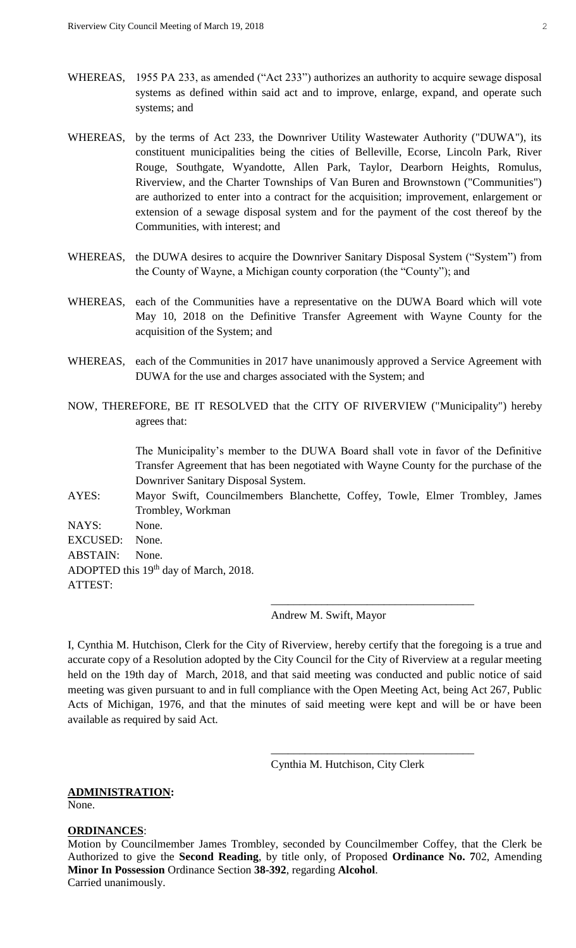- WHEREAS, 1955 PA 233, as amended ("Act 233") authorizes an authority to acquire sewage disposal systems as defined within said act and to improve, enlarge, expand, and operate such systems; and
- WHEREAS, by the terms of Act 233, the Downriver Utility Wastewater Authority ("DUWA"), its constituent municipalities being the cities of Belleville, Ecorse, Lincoln Park, River Rouge, Southgate, Wyandotte, Allen Park, Taylor, Dearborn Heights, Romulus, Riverview, and the Charter Townships of Van Buren and Brownstown ("Communities") are authorized to enter into a contract for the acquisition; improvement, enlargement or extension of a sewage disposal system and for the payment of the cost thereof by the Communities, with interest; and
- WHEREAS, the DUWA desires to acquire the Downriver Sanitary Disposal System ("System") from the County of Wayne, a Michigan county corporation (the "County"); and
- WHEREAS, each of the Communities have a representative on the DUWA Board which will vote May 10, 2018 on the Definitive Transfer Agreement with Wayne County for the acquisition of the System; and
- WHEREAS, each of the Communities in 2017 have unanimously approved a Service Agreement with DUWA for the use and charges associated with the System; and
- NOW, THEREFORE, BE IT RESOLVED that the CITY OF RIVERVIEW ("Municipality") hereby agrees that:

The Municipality's member to the DUWA Board shall vote in favor of the Definitive Transfer Agreement that has been negotiated with Wayne County for the purchase of the Downriver Sanitary Disposal System.

AYES: Mayor Swift, Councilmembers Blanchette, Coffey, Towle, Elmer Trombley, James Trombley, Workman

NAYS: None. EXCUSED: None. ABSTAIN: None. ADOPTED this 19<sup>th</sup> day of March, 2018. ATTEST:

Andrew M. Swift, Mayor

\_\_\_\_\_\_\_\_\_\_\_\_\_\_\_\_\_\_\_\_\_\_\_\_\_\_\_\_\_\_\_\_\_\_\_\_

I, Cynthia M. Hutchison, Clerk for the City of Riverview, hereby certify that the foregoing is a true and accurate copy of a Resolution adopted by the City Council for the City of Riverview at a regular meeting held on the 19th day of March, 2018, and that said meeting was conducted and public notice of said meeting was given pursuant to and in full compliance with the Open Meeting Act, being Act 267, Public Acts of Michigan, 1976, and that the minutes of said meeting were kept and will be or have been available as required by said Act.

Cynthia M. Hutchison, City Clerk

\_\_\_\_\_\_\_\_\_\_\_\_\_\_\_\_\_\_\_\_\_\_\_\_\_\_\_\_\_\_\_\_\_\_\_\_

#### **ADMINISTRATION:**

None.

#### **ORDINANCES**:

Motion by Councilmember James Trombley, seconded by Councilmember Coffey, that the Clerk be Authorized to give the **Second Reading**, by title only, of Proposed **Ordinance No. 7**02, Amending **Minor In Possession** Ordinance Section **38-392**, regarding **Alcohol**. Carried unanimously.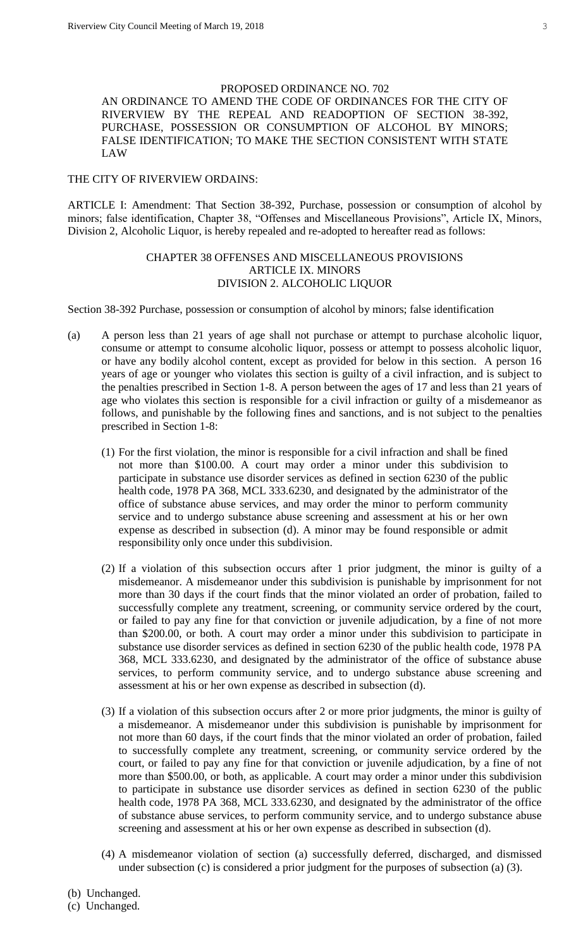## PROPOSED ORDINANCE NO. 702

AN ORDINANCE TO AMEND THE CODE OF ORDINANCES FOR THE CITY OF RIVERVIEW BY THE REPEAL AND READOPTION OF SECTION 38-392, PURCHASE, POSSESSION OR CONSUMPTION OF ALCOHOL BY MINORS; FALSE IDENTIFICATION; TO MAKE THE SECTION CONSISTENT WITH STATE LAW

#### THE CITY OF RIVERVIEW ORDAINS:

ARTICLE I: Amendment: That Section 38-392, Purchase, possession or consumption of alcohol by minors; false identification, Chapter 38, "Offenses and Miscellaneous Provisions", Article IX, Minors, Division 2, Alcoholic Liquor, is hereby repealed and re-adopted to hereafter read as follows:

# CHAPTER 38 OFFENSES AND MISCELLANEOUS PROVISIONS ARTICLE IX. MINORS DIVISION 2. ALCOHOLIC LIQUOR

Section 38-392 Purchase, possession or consumption of alcohol by minors; false identification

- (a) A person less than 21 years of age shall not purchase or attempt to purchase alcoholic liquor, consume or attempt to consume alcoholic liquor, possess or attempt to possess alcoholic liquor, or have any bodily alcohol content, except as provided for below in this section. A person 16 years of age or younger who violates this section is guilty of a civil infraction, and is subject to the penalties prescribed in Section 1-8. A person between the ages of 17 and less than 21 years of age who violates this section is responsible for a civil infraction or guilty of a misdemeanor as follows, and punishable by the following fines and sanctions, and is not subject to the penalties prescribed in Section 1-8:
	- (1) For the first violation, the minor is responsible for a civil infraction and shall be fined not more than \$100.00. A court may order a minor under this subdivision to participate in substance use disorder services as defined in section 6230 of the public health code, 1978 PA 368, MCL 333.6230, and designated by the administrator of the office of substance abuse services, and may order the minor to perform community service and to undergo substance abuse screening and assessment at his or her own expense as described in subsection (d). A minor may be found responsible or admit responsibility only once under this subdivision.
	- (2) If a violation of this subsection occurs after 1 prior judgment, the minor is guilty of a misdemeanor. A misdemeanor under this subdivision is punishable by imprisonment for not more than 30 days if the court finds that the minor violated an order of probation, failed to successfully complete any treatment, screening, or community service ordered by the court, or failed to pay any fine for that conviction or juvenile adjudication, by a fine of not more than \$200.00, or both. A court may order a minor under this subdivision to participate in substance use disorder services as defined in section 6230 of the public health code, 1978 PA 368, MCL 333.6230, and designated by the administrator of the office of substance abuse services, to perform community service, and to undergo substance abuse screening and assessment at his or her own expense as described in subsection (d).
	- (3) If a violation of this subsection occurs after 2 or more prior judgments, the minor is guilty of a misdemeanor. A misdemeanor under this subdivision is punishable by imprisonment for not more than 60 days, if the court finds that the minor violated an order of probation, failed to successfully complete any treatment, screening, or community service ordered by the court, or failed to pay any fine for that conviction or juvenile adjudication, by a fine of not more than \$500.00, or both, as applicable. A court may order a minor under this subdivision to participate in substance use disorder services as defined in section 6230 of the public health code, 1978 PA 368, MCL 333.6230, and designated by the administrator of the office of substance abuse services, to perform community service, and to undergo substance abuse screening and assessment at his or her own expense as described in subsection (d).
	- (4) A misdemeanor violation of section (a) successfully deferred, discharged, and dismissed under subsection (c) is considered a prior judgment for the purposes of subsection (a) (3).

(b) Unchanged.

# (c) Unchanged.